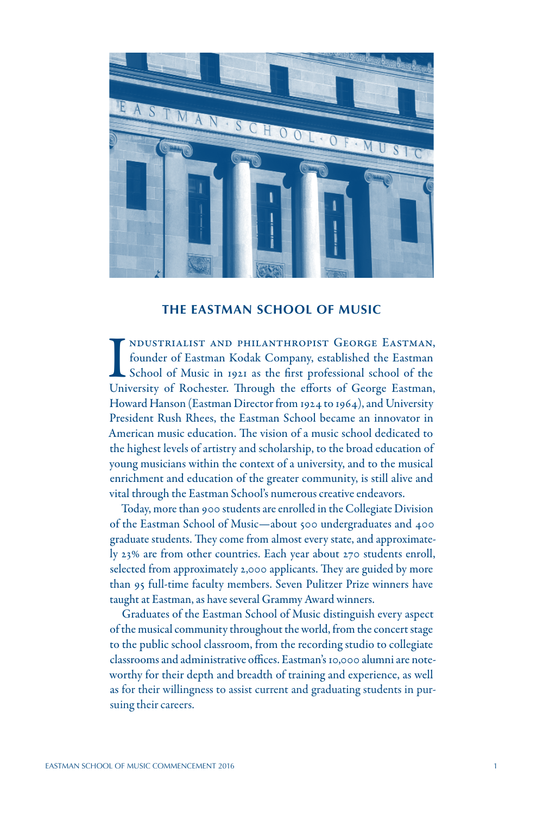

# **THE EASTMAN SCHOOL OF MUSIC**

I NDUSTRIALIST AND PHILANTHROPIST GEORGE EASTMAN, founder of Eastman Kodak Company, established the Eastman, School of Music in 1921 as the first professional school of the University of Rochester. Through the efforts of G ndustrialist and philanthropist George Eastman, founder of Eastman Kodak Company, established the Eastman School of Music in 1921 as the first professional school of the Howard Hanson (Eastman Director from 1924 to 1964), and University President Rush Rhees, the Eastman School became an innovator in American music education. The vision of a music school dedicated to the highest levels of artistry and scholarship, to the broad education of young musicians within the context of a university, and to the musical enrichment and education of the greater community, is still alive and vital through the Eastman School's numerous creative endeavors.

Today, more than 900 students are enrolled in the Collegiate Division of the Eastman School of Music—about 500 undergraduates and 400 graduate students. They come from almost every state, and approximately 23% are from other countries. Each year about 270 students enroll, selected from approximately 2,000 applicants. They are guided by more than 95 full-time faculty members. Seven Pulitzer Prize winners have taught at Eastman, as have several Grammy Award winners.

Graduates of the Eastman School of Music distinguish every aspect of the musical community throughout the world, from the concert stage to the public school classroom, from the recording studio to collegiate classrooms and administrative offices. Eastman's 10,000 alumni are noteworthy for their depth and breadth of training and experience, as well as for their willingness to assist current and graduating students in pursuing their careers.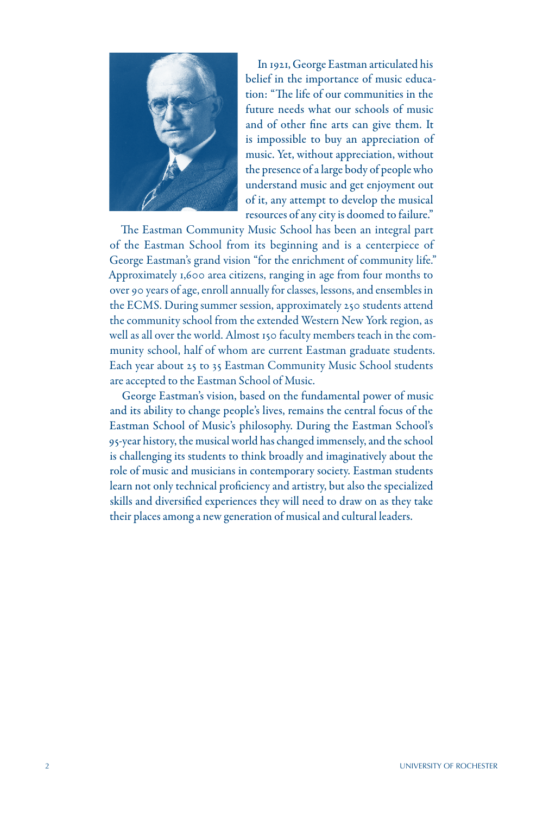

In 1921, George Eastman articulated his belief in the importance of music education: "The life of our communities in the future needs what our schools of music and of other fine arts can give them. It is impossible to buy an appreciation of music. Yet, without appreciation, without the presence of a large body of people who understand music and get enjoyment out of it, any attempt to develop the musical resources of any city is doomed to failure."

The Eastman Community Music School has been an integral part of the Eastman School from its beginning and is a centerpiece of George Eastman's grand vision "for the enrichment of community life." Approximately 1,600 area citizens, ranging in age from four months to over 90 years of age, enroll annually for classes, lessons, and ensembles in the ECMS. During summer session, approximately 250 students attend the community school from the extended Western New York region, as well as all over the world. Almost 150 faculty members teach in the community school, half of whom are current Eastman graduate students. Each year about 25 to 35 Eastman Community Music School students are accepted to the Eastman School of Music.

George Eastman's vision, based on the fundamental power of music and its ability to change people's lives, remains the central focus of the Eastman School of Music's philosophy. During the Eastman School's 95-year history, the musical world has changed immensely, and the school is challenging its students to think broadly and imaginatively about the role of music and musicians in contemporary society. Eastman students learn not only technical proficiency and artistry, but also the specialized skills and diversified experiences they will need to draw on as they take their places among a new generation of musical and cultural leaders.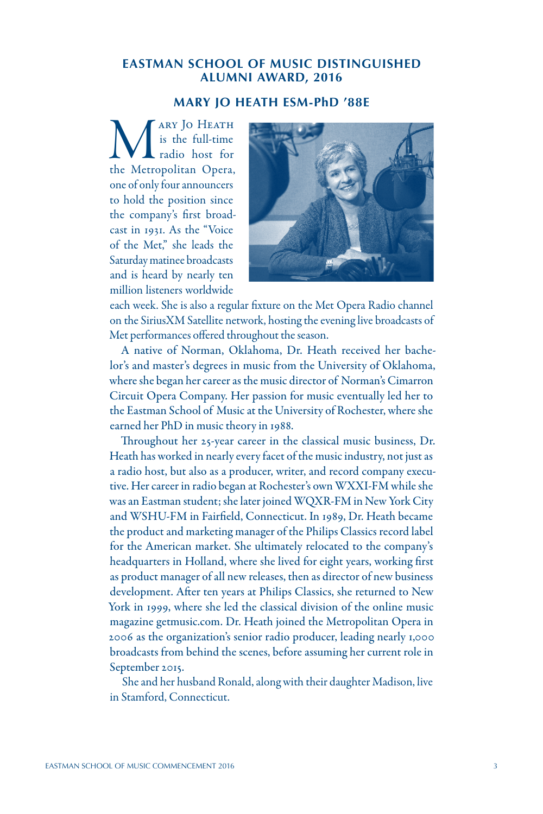# **EASTMAN SCHOOL OF MUSIC DISTINGUISHED ALUMNI AWARD, 2016**

## **MARY JO HEATH ESM-PhD '88E**

Mary Jo Heath<br>
is the full-time<br>
the Metropolitan Opera, is the full-time radio host for one of only four announcers to hold the position since the company's first broadcast in 1931. As the "Voice of the Met," she leads the Saturday matinee broadcasts and is heard by nearly ten million listeners worldwide



each week. She is also a regular fixture on the Met Opera Radio channel on the SiriusXM Satellite network, hosting the evening live broadcasts of Met performances offered throughout the season.

A native of Norman, Oklahoma, Dr. Heath received her bachelor's and master's degrees in music from the University of Oklahoma, where she began her career as the music director of Norman's Cimarron Circuit Opera Company. Her passion for music eventually led her to the Eastman School of Music at the University of Rochester, where she earned her PhD in music theory in 1988.

Throughout her 25-year career in the classical music business, Dr. Heath has worked in nearly every facet of the music industry, not just as a radio host, but also as a producer, writer, and record company executive. Her career in radio began at Rochester's own WXXI-FM while she was an Eastman student; she later joined WQXR-FM in New York City and WSHU-FM in Fairfield, Connecticut. In 1989, Dr. Heath became the product and marketing manager of the Philips Classics record label for the American market. She ultimately relocated to the company's headquarters in Holland, where she lived for eight years, working first as product manager of all new releases, then as director of new business development. After ten years at Philips Classics, she returned to New York in 1999, where she led the classical division of the online music magazine getmusic.com. Dr. Heath joined the Metropolitan Opera in 2006 as the organization's senior radio producer, leading nearly 1,000 broadcasts from behind the scenes, before assuming her current role in September 2015.

She and her husband Ronald, along with their daughter Madison, live in Stamford, Connecticut.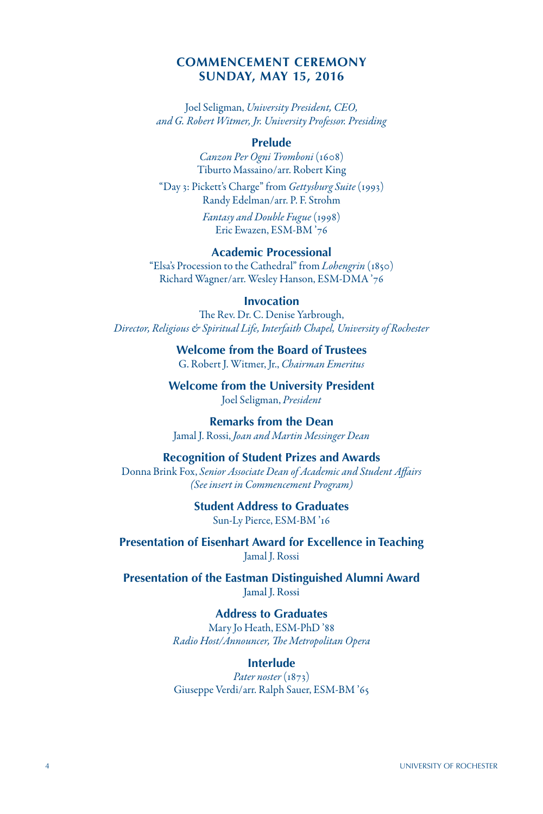#### **COMMENCEMENT CEREMONY SUNDAY, MAY 15, 2016**

Joel Seligman, *University President, CEO, and G. Robert Witmer, Jr. University Professor. Presiding*

#### **Prelude**

*Canzon Per Ogni Tromboni* (1608) Tiburto Massaino/arr. Robert King

"Day 3: Pickett's Charge" from *Gettysburg Suite* (1993) Randy Edelman/arr. P. F. Strohm

> *Fantasy and Double Fugue* (1998) Eric Ewazen, ESM-BM '76

#### **Academic Processional**

"Elsa's Procession to the Cathedral" from *Lohengrin* (1850) Richard Wagner/arr. Wesley Hanson, ESM-DMA '76

#### **Invocation**

The Rev. Dr. C. Denise Yarbrough, *Director, Religious & Spiritual Life, Interfaith Chapel, University of Rochester*

> **Welcome from the Board of Trustees** G. Robert J. Witmer, Jr., *Chairman Emeritus*

**Welcome from the University President** Joel Seligman, *President*

**Remarks from the Dean** Jamal J. Rossi, *Joan and Martin Messinger Dean*

#### **Recognition of Student Prizes and Awards**

Donna Brink Fox, *Senior Associate Dean of Academic and Student Affairs (See insert in Commencement Program)*

> **Student Address to Graduates** Sun-Ly Pierce, ESM-BM '16

**Presentation of Eisenhart Award for Excellence in Teaching** Jamal J. Rossi

**Presentation of the Eastman Distinguished Alumni Award** Jamal J. Rossi

> **Address to Graduates** Mary Jo Heath, ESM-PhD '88 *Radio Host/Announcer, The Metropolitan Opera*

#### **Interlude**

*Pater noster* (1873) Giuseppe Verdi/arr. Ralph Sauer, ESM-BM '65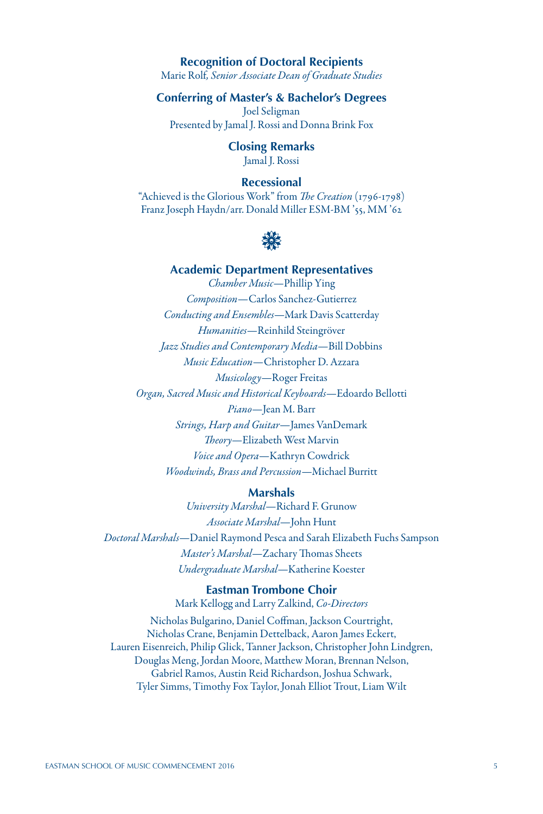#### **Recognition of Doctoral Recipients**

Marie Rolf*, Senior Associate Dean of Graduate Studies*

# **Conferring of Master's & Bachelor's Degrees**

Joel Seligman Presented by Jamal J. Rossi and Donna Brink Fox

> **Closing Remarks** Jamal J. Rossi

#### **Recessional**

"Achieved is the Glorious Work" from *The Creation* (1796-1798) Franz Joseph Haydn/arr. Donald Miller ESM-BM '55, MM '62



# **Academic Department Representatives** *Chamber Music*—Phillip Ying *Composition*—Carlos Sanchez-Gutierrez *Conducting and Ensembles*—Mark Davis Scatterday *Humanities*—Reinhild Steingröver *Jazz Studies and Contemporary Media*—Bill Dobbins *Music Education*—Christopher D. Azzara *Musicology*—Roger Freitas *Organ, Sacred Music and Historical Keyboards*—Edoardo Bellotti *Piano*—Jean M. Barr *Strings, Harp and Guitar*—James VanDemark *Theory*—Elizabeth West Marvin *Voice and Opera*—Kathryn Cowdrick *Woodwinds, Brass and Percussion*—Michael Burritt

## **Marshals**

*University Marshal*—Richard F. Grunow *Associate Marshal*—John Hunt *Doctoral Marshals*—Daniel Raymond Pesca and Sarah Elizabeth Fuchs Sampson *Master's Marshal*—Zachary Thomas Sheets *Undergraduate Marshal*—Katherine Koester

> **Eastman Trombone Choir** Mark Kellogg and Larry Zalkind, *Co-Directors*

Nicholas Bulgarino, Daniel Coffman, Jackson Courtright, Nicholas Crane, Benjamin Dettelback, Aaron James Eckert, Lauren Eisenreich, Philip Glick, Tanner Jackson, Christopher John Lindgren, Douglas Meng, Jordan Moore, Matthew Moran, Brennan Nelson, Gabriel Ramos, Austin Reid Richardson, Joshua Schwark, Tyler Simms, Timothy Fox Taylor, Jonah Elliot Trout, Liam Wilt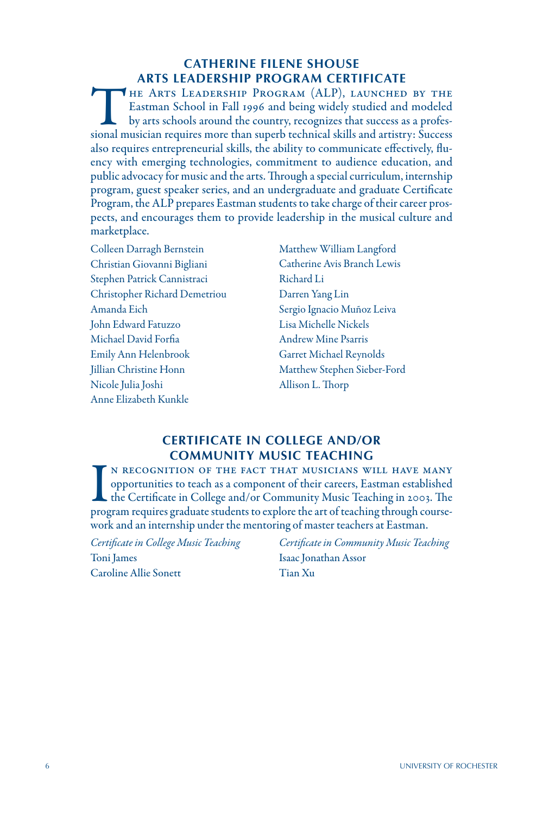# **CATHERINE FILENE SHOUSE ARTS LEADERSHIP PROGRAM CERTIFICATE**

The Arts Leadership Program (ALP), launched by the Eastman School in Fall 1996 and being widely studied and modeled by arts schools around the country, recognizes that success as a professional musician requires more than superb technical skills and artistry: Success also requires entrepreneurial skills, the ability to communicate effectively, fluency with emerging technologies, commitment to audience education, and public advocacy for music and the arts. Through a special curriculum, internship program, guest speaker series, and an undergraduate and graduate Certificate Program, the ALP prepares Eastman students to take charge of their career prospects, and encourages them to provide leadership in the musical culture and marketplace.

- Colleen Darragh Bernstein Christian Giovanni Bigliani Stephen Patrick Cannistraci Christopher Richard Demetriou Amanda Eich John Edward Fatuzzo Michael David Forfia Emily Ann Helenbrook Jillian Christine Honn Nicole Julia Joshi Anne Elizabeth Kunkle
- Matthew William Langford Catherine Avis Branch Lewis Richard Li Darren Yang Lin Sergio Ignacio Muñoz Leiva Lisa Michelle Nickels Andrew Mine Psarris Garret Michael Reynolds Matthew Stephen Sieber-Ford Allison L. Thorp

## **CERTIFICATE IN COLLEGE AND/OR COMMUNITY MUSIC TEACHING**

IN RECOGNITION OF THE FACT THAT MUSICIANS WILL HAVE MANY opportunities to teach as a component of their careers, Eastman established the Certificate in College and/or Community Music Teaching in 2003. The program requires N RECOGNITION OF THE FACT THAT MUSICIANS WILL HAVE MANY opportunities to teach as a component of their careers, Eastman established the Certificate in College and/or Community Music Teaching in 2003. The work and an internship under the mentoring of master teachers at Eastman.

*Certificate in College Music Teaching* Toni James Caroline Allie Sonett

*Certificate in Community Music Teaching* Isaac Jonathan Assor Tian Xu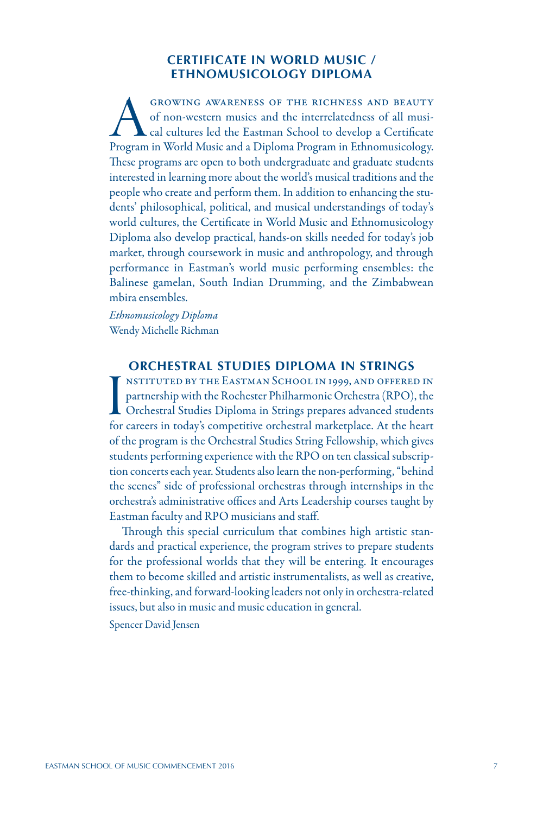### **CERTIFICATE IN WORLD MUSIC / ETHNOMUSICOLOGY DIPLOMA**

GROWING AWARENESS OF THE RICHNESS AND BEAUTY<br>of non-western musics and the interrelatedness of all musi-<br>cal cultures led the Eastman School to develop a Certificate<br>Program in World Music and a Diploma Program in Ethnomus of non-western musics and the interrelatedness of all musical cultures led the Eastman School to develop a Certificate Program in World Music and a Diploma Program in Ethnomusicology. These programs are open to both undergraduate and graduate students interested in learning more about the world's musical traditions and the people who create and perform them. In addition to enhancing the students' philosophical, political, and musical understandings of today's world cultures, the Certificate in World Music and Ethnomusicology Diploma also develop practical, hands-on skills needed for today's job market, through coursework in music and anthropology, and through performance in Eastman's world music performing ensembles: the Balinese gamelan, South Indian Drumming, and the Zimbabwean mbira ensembles.

*Ethnomusicology Diploma* Wendy Michelle Richman

#### **ORCHESTRAL STUDIES DIPLOMA IN STRINGS**

IM INSTITUTED BY THE EASTMAN SCHOOL IN 1999, AND OFFERED IN partnership with the Rochester Philharmonic Orchestra (RPO), the Orchestral Studies Diploma in Strings prepares advanced students for careers in today's competiti nstituted by the Eastman School in 1999, and offered in partnership with the Rochester Philharmonic Orchestra (RPO), the Orchestral Studies Diploma in Strings prepares advanced students of the program is the Orchestral Studies String Fellowship, which gives students performing experience with the RPO on ten classical subscription concerts each year. Students also learn the non-performing, "behind the scenes" side of professional orchestras through internships in the orchestra's administrative offices and Arts Leadership courses taught by Eastman faculty and RPO musicians and staff.

Through this special curriculum that combines high artistic standards and practical experience, the program strives to prepare students for the professional worlds that they will be entering. It encourages them to become skilled and artistic instrumentalists, as well as creative, free-thinking, and forward-looking leaders not only in orchestra-related issues, but also in music and music education in general.

Spencer David Jensen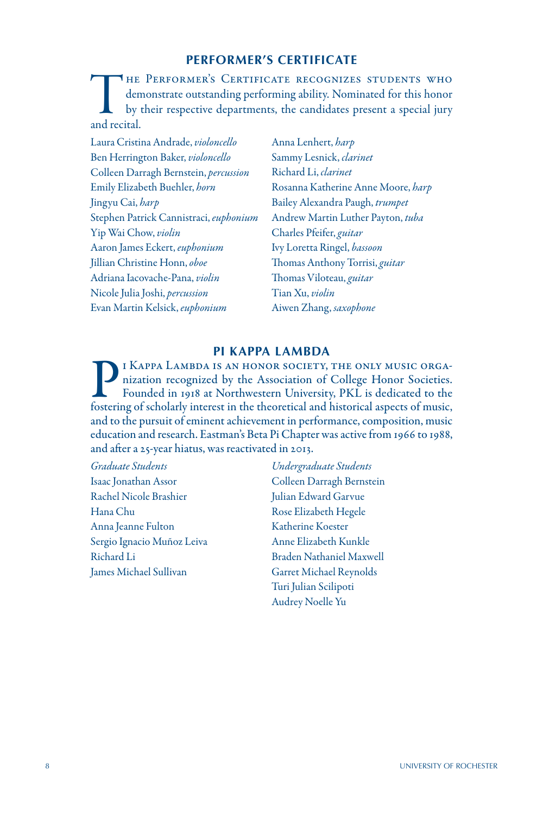# **PERFORMER'S CERTIFICATE**

THE PERFORMER'S CERTIFICATE RECOGNIZES STUDENTS WHO<br>demonstrate outstanding performing ability. Nominated for this honor<br>by their respective departments, the candidates present a special jury<br>and recital. demonstrate outstanding performing ability. Nominated for this honor by their respective departments, the candidates present a special jury and recital.

Laura Cristina Andrade, *violoncello* Ben Herrington Baker, *violoncello* Colleen Darragh Bernstein, *percussion* Emily Elizabeth Buehler, *horn* Jingyu Cai, *harp* Stephen Patrick Cannistraci, *euphonium* Yip Wai Chow, *violin* Aaron James Eckert, *euphonium* Jillian Christine Honn, *oboe* Adriana Iacovache-Pana, *violin* Nicole Julia Joshi, *percussion* Evan Martin Kelsick, *euphonium*

Anna Lenhert, *harp* Sammy Lesnick, *clarinet* Richard Li, *clarinet* Rosanna Katherine Anne Moore, *harp* Bailey Alexandra Paugh, *trumpet* Andrew Martin Luther Payton, *tuba* Charles Pfeifer, *guitar* Ivy Loretta Ringel, *bassoon* Thomas Anthony Torrisi, *guitar* Thomas Viloteau, *guitar* Tian Xu, *violin* Aiwen Zhang, *saxophone*

### **PI KAPPA LAMBDA**

THE ONLY MUSIC ORGA-<br>nization recognized by the Association of College Honor Societies.<br>Founded in 1918 at Northwestern University, PKL is dedicated to the<br>fostering of scholarly interest in the theoretical and historical nization recognized by the Association of College Honor Societies. Founded in 1918 at Northwestern University, PKL is dedicated to the fostering of scholarly interest in the theoretical and historical aspects of music, and to the pursuit of eminent achievement in performance, composition, music education and research. Eastman's Beta Pi Chapter was active from 1966 to 1988, and after a 25-year hiatus, was reactivated in 2013.

*Graduate Students* Isaac Jonathan Assor Rachel Nicole Brashier Hana Chu Anna Jeanne Fulton Sergio Ignacio Muñoz Leiva Richard Li James Michael Sullivan

*Undergraduate Students* Colleen Darragh Bernstein Julian Edward Garvue Rose Elizabeth Hegele Katherine Koester Anne Elizabeth Kunkle Braden Nathaniel Maxwell Garret Michael Reynolds Turi Julian Scilipoti Audrey Noelle Yu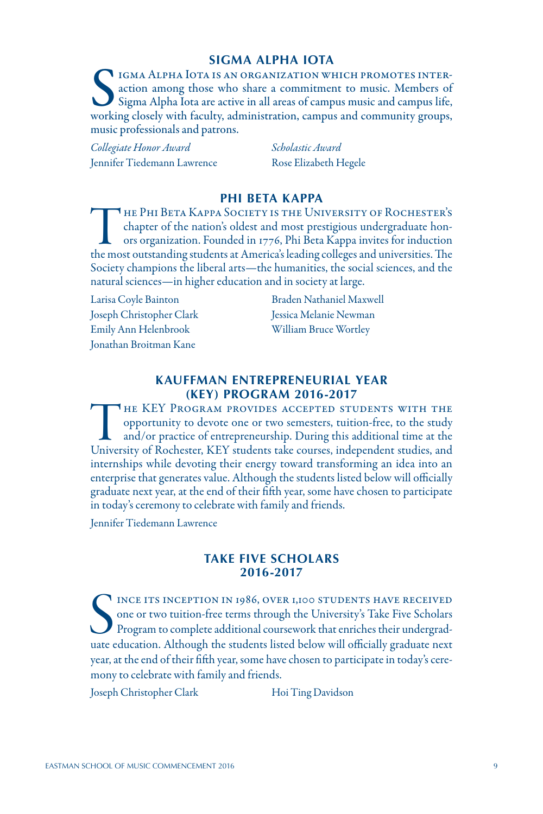#### **SIGMA ALPHA IOTA**

IGMA ALPHA IOTA IS AN ORGANIZATION WHICH PROMOTES INTERaction among those who share a commitment to music. Members of Sigma Alpha Iota are active in all areas of campus music and campus life, working closely with faculty, administration, campus and community groups, music professionals and patrons.

*Collegiate Honor Award* Jennifer Tiedemann Lawrence

*Scholastic Award* Rose Elizabeth Hegele

### **PHI BETA KAPPA**

THE PHI BETA KAPPA SOCIETY IS THE UNIVERSITY OF ROCHESTER'S chapter of the nation's oldest and most prestigious undergraduate honors organization. Founded in 1776, Phi Beta Kappa invites for induction the most outstanding chapter of the nation's oldest and most prestigious undergraduate honors organization. Founded in 1776, Phi Beta Kappa invites for induction the most outstanding students at America's leading colleges and universities. The Society champions the liberal arts—the humanities, the social sciences, and the natural sciences—in higher education and in society at large.

Larisa Coyle Bainton Joseph Christopher Clark Emily Ann Helenbrook Jonathan Broitman Kane

Braden Nathaniel Maxwell Jessica Melanie Newman William Bruce Wortley

#### **KAUFFMAN ENTREPRENEURIAL YEAR (KEY) PROGRAM 2016-2017**

THE KEY PROGRAM PROVIDES ACCEPTED STUDENTS WITH THE opportunity to devote one or two semesters, tuition-free, to the study and/or practice of entrepreneurship. During this additional time at the University of Rochester, KE opportunity to devote one or two semesters, tuition-free, to the study and/or practice of entrepreneurship. During this additional time at the University of Rochester, KEY students take courses, independent studies, and internships while devoting their energy toward transforming an idea into an enterprise that generates value. Although the students listed below will officially graduate next year, at the end of their fifth year, some have chosen to participate in today's ceremony to celebrate with family and friends.

Jennifer Tiedemann Lawrence

#### **TAKE FIVE SCHOLARS 2016-2017**

SECTION IN 1986, OVER 1,100 STUDENTS HAVE RECEIVED one or two tuition-free terms through the University's Take Five Scholars Program to complete additional coursework that enriches their undergraduate education. Although t INCE ITS INCEPTION IN 1986, OVER 1,100 STUDENTS HAVE RECEIVED one or two tuition-free terms through the University's Take Five Scholars Program to complete additional coursework that enriches their undergradyear, at the end of their fifth year, some have chosen to participate in today's ceremony to celebrate with family and friends.

Joseph Christopher Clark Hoi Ting Davidson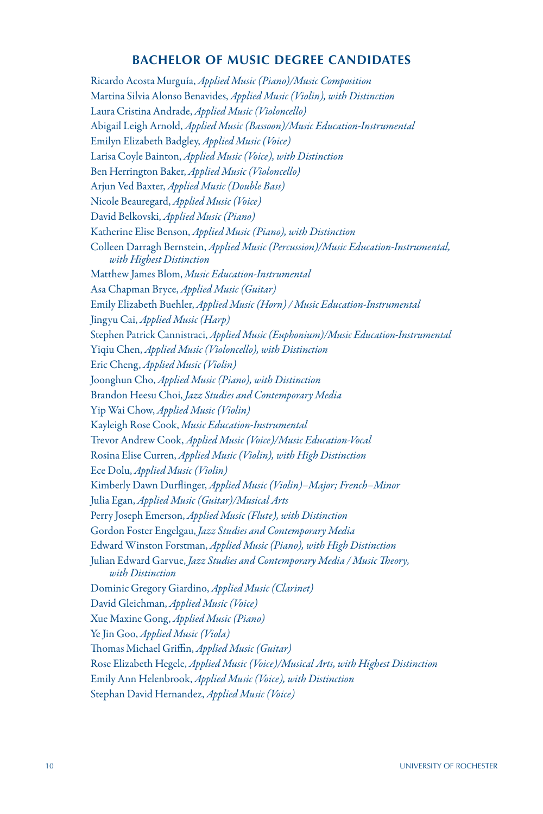# **BACHELOR OF MUSIC DEGREE CANDIDATES**

Ricardo Acosta Murguía, *Applied Music (Piano)/Music Composition* Martina Silvia Alonso Benavides, *Applied Music (Violin), with Distinction* Laura Cristina Andrade, *Applied Music (Violoncello)* Abigail Leigh Arnold, *Applied Music (Bassoon)/Music Education-Instrumental* Emilyn Elizabeth Badgley, *Applied Music (Voice)* Larisa Coyle Bainton, *Applied Music (Voice), with Distinction* Ben Herrington Baker, *Applied Music (Violoncello)* Arjun Ved Baxter, *Applied Music (Double Bass)* Nicole Beauregard, *Applied Music (Voice)* David Belkovski, *Applied Music (Piano)* Katherine Elise Benson, *Applied Music (Piano), with Distinction* Colleen Darragh Bernstein, *Applied Music (Percussion)/Music Education-Instrumental, with Highest Distinction* Matthew James Blom, *Music Education-Instrumental* Asa Chapman Bryce, *Applied Music (Guitar)* Emily Elizabeth Buehler, *Applied Music (Horn) / Music Education-Instrumental* Jingyu Cai, *Applied Music (Harp)* Stephen Patrick Cannistraci, *Applied Music (Euphonium)/Music Education-Instrumental* Yiqiu Chen, *Applied Music (Violoncello), with Distinction*  Eric Cheng, *Applied Music (Violin)* Joonghun Cho, *Applied Music (Piano), with Distinction* Brandon Heesu Choi, *Jazz Studies and Contemporary Media* Yip Wai Chow, *Applied Music (Violin)* Kayleigh Rose Cook, *Music Education-Instrumental* Trevor Andrew Cook, *Applied Music (Voice)/Music Education-Vocal* Rosina Elise Curren, *Applied Music (Violin), with High Distinction* Ece Dolu, *Applied Music (Violin)* Kimberly Dawn Durflinger, *Applied Music (Violin)–Major; French–Minor* Julia Egan, *Applied Music (Guitar)/Musical Arts* Perry Joseph Emerson, *Applied Music (Flute), with Distinction* Gordon Foster Engelgau, *Jazz Studies and Contemporary Media* Edward Winston Forstman, *Applied Music (Piano), with High Distinction* Julian Edward Garvue, *Jazz Studies and Contemporary Media / Music Theory, with Distinction* Dominic Gregory Giardino, *Applied Music (Clarinet)* David Gleichman, *Applied Music (Voice)* Xue Maxine Gong, *Applied Music (Piano)* Ye Jin Goo, *Applied Music (Viola)* Thomas Michael Griffin, *Applied Music (Guitar)* Rose Elizabeth Hegele, *Applied Music (Voice)/Musical Arts, with Highest Distinction* Emily Ann Helenbrook, *Applied Music (Voice), with Distinction* Stephan David Hernandez, *Applied Music (Voice)*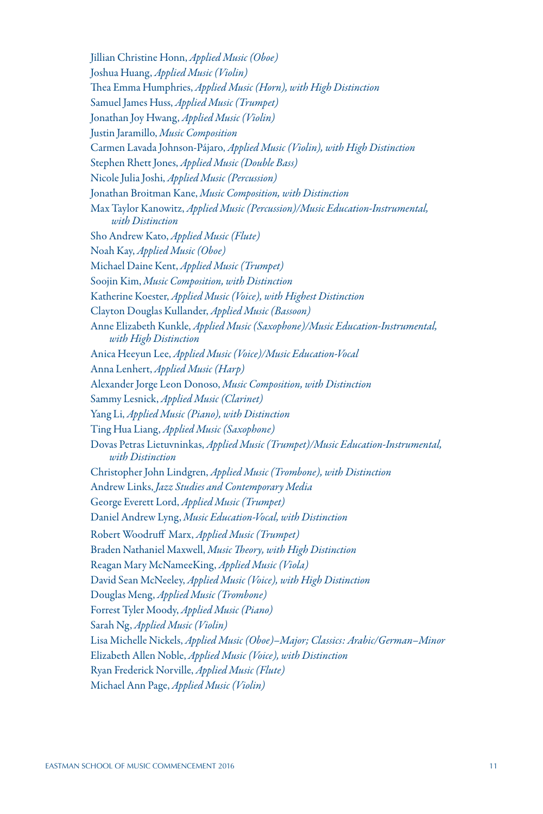Jillian Christine Honn, *Applied Music (Oboe)* Joshua Huang, *Applied Music (Violin)* Thea Emma Humphries, *Applied Music (Horn), with High Distinction* Samuel James Huss, *Applied Music (Trumpet)* Jonathan Joy Hwang, *Applied Music (Violin)* Justin Jaramillo, *Music Composition* Carmen Lavada Johnson-Pájaro, *Applied Music (Violin), with High Distinction* Stephen Rhett Jones, *Applied Music (Double Bass)* Nicole Julia Joshi, *Applied Music (Percussion)* Jonathan Broitman Kane, *Music Composition, with Distinction* Max Taylor Kanowitz, *Applied Music (Percussion)/Music Education-Instrumental, with Distinction* Sho Andrew Kato, *Applied Music (Flute)* Noah Kay, *Applied Music (Oboe)* Michael Daine Kent, *Applied Music (Trumpet)* Soojin Kim, *Music Composition, with Distinction* Katherine Koester, *Applied Music (Voice), with Highest Distinction* Clayton Douglas Kullander, *Applied Music (Bassoon)* Anne Elizabeth Kunkle, *Applied Music (Saxophone)/Music Education-Instrumental, with High Distinction* Anica Heeyun Lee, *Applied Music (Voice)/Music Education-Vocal* Anna Lenhert, *Applied Music (Harp)* Alexander Jorge Leon Donoso, *Music Composition, with Distinction* Sammy Lesnick, *Applied Music (Clarinet)* Yang Li, *Applied Music (Piano), with Distinction* Ting Hua Liang, *Applied Music (Saxophone)* Dovas Petras Lietuvninkas, *Applied Music (Trumpet)/Music Education-Instrumental, with Distinction* Christopher John Lindgren, *Applied Music (Trombone), with Distinction* Andrew Links, *Jazz Studies and Contemporary Media* George Everett Lord, *Applied Music (Trumpet)* Daniel Andrew Lyng, *Music Education-Vocal, with Distinction* Robert Woodruff Marx, *Applied Music (Trumpet)* Braden Nathaniel Maxwell, *Music Theory, with High Distinction* Reagan Mary McNameeKing, *Applied Music (Viola)* David Sean McNeeley, *Applied Music (Voice), with High Distinction* Douglas Meng, *Applied Music (Trombone)* Forrest Tyler Moody, *Applied Music (Piano)* Sarah Ng, *Applied Music (Violin)*  Lisa Michelle Nickels, *Applied Music (Oboe)–Major; Classics: Arabic/German–Minor* Elizabeth Allen Noble, *Applied Music (Voice), with Distinction* Ryan Frederick Norville, *Applied Music (Flute)* Michael Ann Page, *Applied Music (Violin)*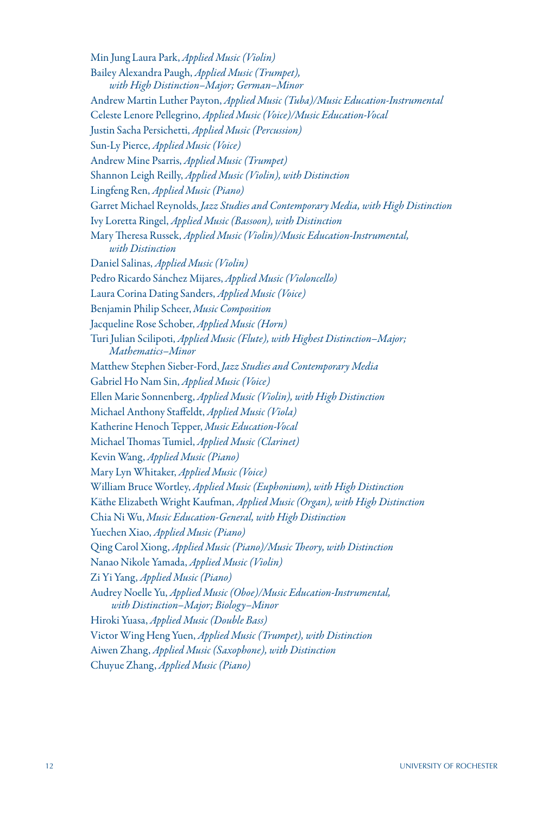Min Jung Laura Park, *Applied Music (Violin)* Bailey Alexandra Paugh, *Applied Music (Trumpet), with High Distinction–Major; German–Minor* Andrew Martin Luther Payton, *Applied Music (Tuba)/Music Education-Instrumental* Celeste Lenore Pellegrino, *Applied Music (Voice)/Music Education-Vocal* Justin Sacha Persichetti, *Applied Music (Percussion)* Sun-Ly Pierce, *Applied Music (Voice)* Andrew Mine Psarris, *Applied Music (Trumpet)* Shannon Leigh Reilly, *Applied Music (Violin), with Distinction* Lingfeng Ren, *Applied Music (Piano)* Garret Michael Reynolds, *Jazz Studies and Contemporary Media, with High Distinction* Ivy Loretta Ringel, *Applied Music (Bassoon), with Distinction* Mary Theresa Russek, *Applied Music (Violin)/Music Education-Instrumental, with Distinction* Daniel Salinas, *Applied Music (Violin)* Pedro Ricardo Sánchez Mijares, *Applied Music (Violoncello)* Laura Corina Dating Sanders, *Applied Music (Voice)* Benjamin Philip Scheer, *Music Composition* Jacqueline Rose Schober, *Applied Music (Horn)* Turi Julian Scilipoti, *Applied Music (Flute), with Highest Distinction–Major; Mathematics–Minor* Matthew Stephen Sieber-Ford, *Jazz Studies and Contemporary Media* Gabriel Ho Nam Sin, *Applied Music (Voice)* Ellen Marie Sonnenberg, *Applied Music (Violin), with High Distinction* Michael Anthony Staffeldt, *Applied Music (Viola)* Katherine Henoch Tepper, *Music Education-Vocal* Michael Thomas Tumiel, *Applied Music (Clarinet)* Kevin Wang, *Applied Music (Piano)* Mary Lyn Whitaker, *Applied Music (Voice)* William Bruce Wortley, *Applied Music (Euphonium), with High Distinction* Käthe Elizabeth Wright Kaufman, *Applied Music (Organ), with High Distinction* Chia Ni Wu, *Music Education-General, with High Distinction* Yuechen Xiao, *Applied Music (Piano)* Qing Carol Xiong, *Applied Music (Piano)/Music Theory, with Distinction* Nanao Nikole Yamada, *Applied Music (Violin)* Zi Yi Yang, *Applied Music (Piano)* Audrey Noelle Yu, *Applied Music (Oboe)/Music Education-Instrumental, with Distinction–Major; Biology–Minor* Hiroki Yuasa, *Applied Music (Double Bass)* Victor Wing Heng Yuen, *Applied Music (Trumpet), with Distinction* Aiwen Zhang, *Applied Music (Saxophone), with Distinction* Chuyue Zhang, *Applied Music (Piano)*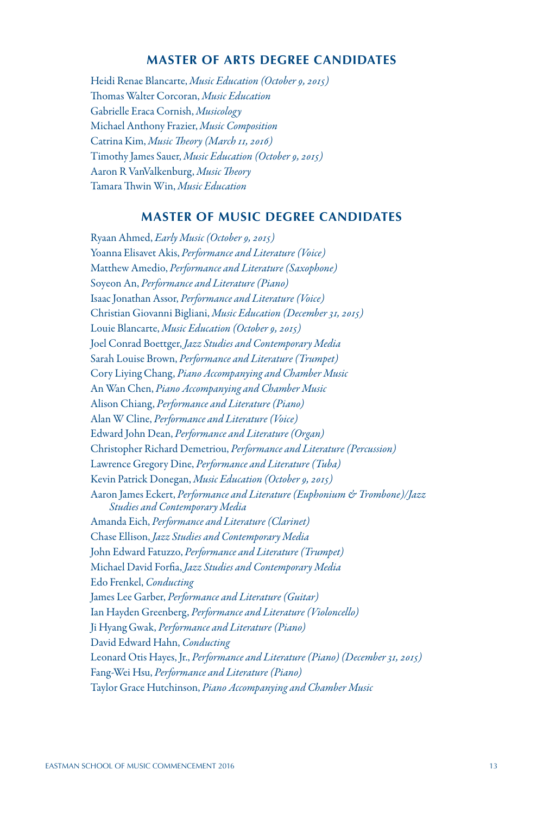# **MASTER OF ARTS DEGREE CANDIDATES**

Heidi Renae Blancarte, *Music Education (October 9, 2015)* Thomas Walter Corcoran, *Music Education* Gabrielle Eraca Cornish, *Musicology* Michael Anthony Frazier, *Music Composition* Catrina Kim, *Music Theory (March 11, 2016)* Timothy James Sauer, *Music Education (October 9, 2015)* Aaron R VanValkenburg, *Music Theory* Tamara Thwin Win, *Music Education*

# **MASTER OF MUSIC DEGREE CANDIDATES**

Ryaan Ahmed, *Early Music (October 9, 2015)* Yoanna Elisavet Akis, *Performance and Literature (Voice)* Matthew Amedio, *Performance and Literature (Saxophone)* Soyeon An, *Performance and Literature (Piano)* Isaac Jonathan Assor, *Performance and Literature (Voice)* Christian Giovanni Bigliani, *Music Education (December 31, 2015)* Louie Blancarte, *Music Education (October 9, 2015)* Joel Conrad Boettger, *Jazz Studies and Contemporary Media* Sarah Louise Brown, *Performance and Literature (Trumpet)* Cory Liying Chang, *Piano Accompanying and Chamber Music* An Wan Chen, *Piano Accompanying and Chamber Music* Alison Chiang, *Performance and Literature (Piano)* Alan W Cline, *Performance and Literature (Voice)* Edward John Dean, *Performance and Literature (Organ)* Christopher Richard Demetriou, *Performance and Literature (Percussion)* Lawrence Gregory Dine, *Performance and Literature (Tuba)* Kevin Patrick Donegan, *Music Education (October 9, 2015)* Aaron James Eckert, *Performance and Literature (Euphonium & Trombone)/Jazz Studies and Contemporary Media* Amanda Eich, *Performance and Literature (Clarinet)* Chase Ellison, *Jazz Studies and Contemporary Media* John Edward Fatuzzo, *Performance and Literature (Trumpet)* Michael David Forfia, *Jazz Studies and Contemporary Media* Edo Frenkel, *Conducting* James Lee Garber, *Performance and Literature (Guitar)* Ian Hayden Greenberg, *Performance and Literature (Violoncello)* Ji Hyang Gwak, *Performance and Literature (Piano)* David Edward Hahn, *Conducting* Leonard Otis Hayes, Jr., *Performance and Literature (Piano) (December 31, 2015)* Fang-Wei Hsu, *Performance and Literature (Piano)* Taylor Grace Hutchinson, *Piano Accompanying and Chamber Music*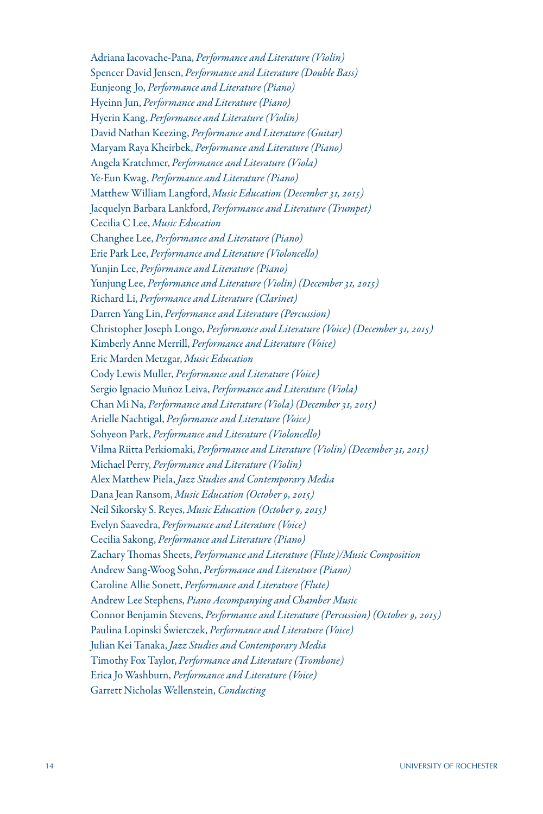Adriana Iacovache-Pana, *Performance and Literature (Violin)* Spencer David Jensen, *Performance and Literature (Double Bass)* Eunjeong Jo, *Performance and Literature (Piano)* Hyeinn Jun, *Performance and Literature (Piano)* Hyerin Kang, *Performance and Literature (Violin)* David Nathan Keezing, *Performance and Literature (Guitar)* Maryam Raya Kheirbek, *Performance and Literature (Piano)* Angela Kratchmer, *Performance and Literature (Viola)* Ye-Eun Kwag, *Performance and Literature (Piano)* Matthew William Langford, *Music Education (December 31, 2015)* Jacquelyn Barbara Lankford, *Performance and Literature (Trumpet)* Cecilia C Lee, *Music Education* Changhee Lee, *Performance and Literature (Piano)* Erie Park Lee, *Performance and Literature (Violoncello)* Yunjin Lee, *Performance and Literature (Piano)* Yunjung Lee, *Performance and Literature (Violin) (December 31, 2015)* Richard Li, *Performance and Literature (Clarinet)* Darren Yang Lin, *Performance and Literature (Percussion)* Christopher Joseph Longo, *Performance and Literature (Voice) (December 31, 2015)* Kimberly Anne Merrill, *Performance and Literature (Voice)* Eric Marden Metzgar, *Music Education* Cody Lewis Muller, *Performance and Literature (Voice)* Sergio Ignacio Muñoz Leiva, *Performance and Literature (Viola)* Chan Mi Na, *Performance and Literature (Viola) (December 31, 2015)* Arielle Nachtigal, *Performance and Literature (Voice)* Sohyeon Park, *Performance and Literature (Violoncello)* Vilma Riitta Perkiomaki, *Performance and Literature (Violin) (December 31, 2015)* Michael Perry, *Performance and Literature (Violin)* Alex Matthew Piela, *Jazz Studies and Contemporary Media* Dana Jean Ransom, *Music Education (October 9, 2015)* Neil Sikorsky S. Reyes, *Music Education (October 9, 2015)* Evelyn Saavedra, *Performance and Literature (Voice)* Cecilia Sakong, *Performance and Literature (Piano)* Zachary Thomas Sheets, *Performance and Literature (Flute)/Music Composition* Andrew Sang-Woog Sohn, *Performance and Literature (Piano)* Caroline Allie Sonett, *Performance and Literature (Flute)* Andrew Lee Stephens, *Piano Accompanying and Chamber Music* Connor Benjamin Stevens, *Performance and Literature (Percussion) (October 9, 2015)* Paulina Lopinski Świerczek, *Performance and Literature (Voice)* Julian Kei Tanaka, *Jazz Studies and Contemporary Media* Timothy Fox Taylor, *Performance and Literature (Trombone)* Erica Jo Washburn, *Performance and Literature (Voice)*  Garrett Nicholas Wellenstein, *Conducting*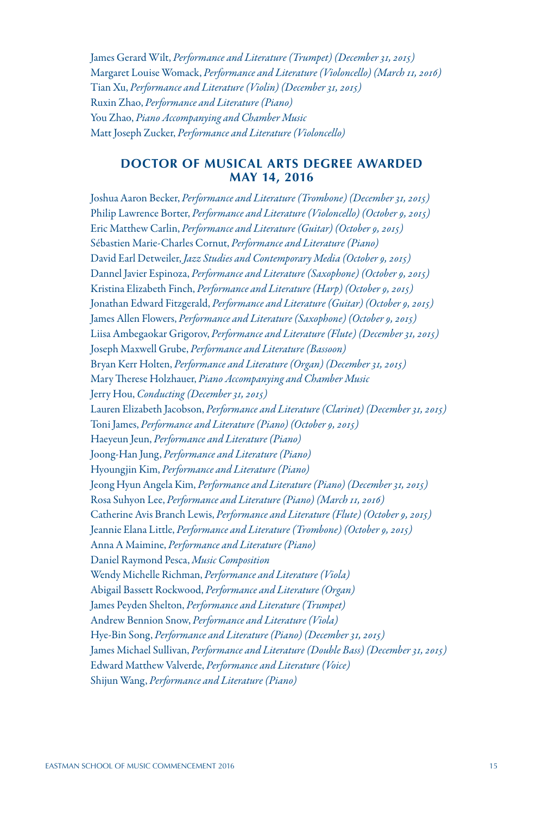James Gerard Wilt, *Performance and Literature (Trumpet) (December 31, 2015)* Margaret Louise Womack, *Performance and Literature (Violoncello) (March 11, 2016)* Tian Xu, *Performance and Literature (Violin) (December 31, 2015)* Ruxin Zhao, *Performance and Literature (Piano)* You Zhao, *Piano Accompanying and Chamber Music* Matt Joseph Zucker, *Performance and Literature (Violoncello)* 

## **DOCTOR OF MUSICAL ARTS DEGREE AWARDED MAY 14, 2016**

Joshua Aaron Becker, *Performance and Literature (Trombone) (December 31, 2015)* Philip Lawrence Borter, *Performance and Literature (Violoncello) (October 9, 2015)* Eric Matthew Carlin, *Performance and Literature (Guitar) (October 9, 2015)* Sébastien Marie-Charles Cornut, *Performance and Literature (Piano)* David Earl Detweiler, *Jazz Studies and Contemporary Media (October 9, 2015)* Dannel Javier Espinoza, *Performance and Literature (Saxophone) (October 9, 2015)* Kristina Elizabeth Finch, *Performance and Literature (Harp) (October 9, 2015)* Jonathan Edward Fitzgerald, *Performance and Literature (Guitar) (October 9, 2015)* James Allen Flowers, *Performance and Literature (Saxophone) (October 9, 2015)* Liisa Ambegaokar Grigorov, *Performance and Literature (Flute) (December 31, 2015)* Joseph Maxwell Grube, *Performance and Literature (Bassoon)* Bryan Kerr Holten, *Performance and Literature (Organ) (December 31, 2015)* Mary Therese Holzhauer, *Piano Accompanying and Chamber Music* Jerry Hou, *Conducting (December 31, 2015)* Lauren Elizabeth Jacobson, *Performance and Literature (Clarinet) (December 31, 2015)* Toni James, *Performance and Literature (Piano) (October 9, 2015)* Haeyeun Jeun, *Performance and Literature (Piano)* Joong-Han Jung, *Performance and Literature (Piano)* Hyoungjin Kim, *Performance and Literature (Piano)* Jeong Hyun Angela Kim, *Performance and Literature (Piano) (December 31, 2015)* Rosa Suhyon Lee, *Performance and Literature (Piano) (March 11, 2016)* Catherine Avis Branch Lewis, *Performance and Literature (Flute) (October 9, 2015)* Jeannie Elana Little, *Performance and Literature (Trombone) (October 9, 2015)* Anna A Maimine, *Performance and Literature (Piano)* Daniel Raymond Pesca, *Music Composition* Wendy Michelle Richman, *Performance and Literature (Viola)* Abigail Bassett Rockwood, *Performance and Literature (Organ)* James Peyden Shelton, *Performance and Literature (Trumpet)* Andrew Bennion Snow, *Performance and Literature (Viola)* Hye-Bin Song, *Performance and Literature (Piano) (December 31, 2015)* James Michael Sullivan, *Performance and Literature (Double Bass) (December 31, 2015)* Edward Matthew Valverde, *Performance and Literature (Voice)* Shijun Wang, *Performance and Literature (Piano)*